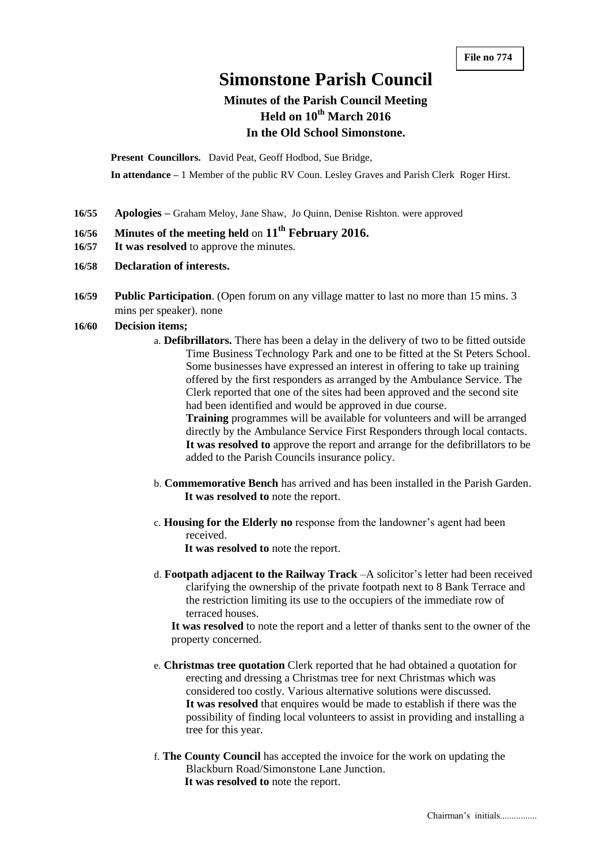# **Simonstone Parish Council**

# **Minutes of the Parish Council Meeting Held on 10th March 2016 In the Old School Simonstone.**

**Present Councillors.** David Peat, Geoff Hodbod, Sue Bridge,

**In attendance –** 1 Member of the public RV Coun. Lesley Graves and Parish Clerk Roger Hirst.

- **16/55 Apologies –** Graham Meloy, Jane Shaw, Jo Quinn, Denise Rishton. were approved
- **16/56 Minutes of the meeting held** on **11th February 2016.**
- **16/57 It was resolved** to approve the minutes.
- **16/58 Declaration of interests.**
- **16/59 Public Participation**. (Open forum on any village matter to last no more than 15 mins. 3 mins per speaker). none

#### **16/60 Decision items;**

a. **Defibrillators.** There has been a delay in the delivery of two to be fitted outside Time Business Technology Park and one to be fitted at the St Peters School. Some businesses have expressed an interest in offering to take up training offered by the first responders as arranged by the Ambulance Service. The Clerk reported that one of the sites had been approved and the second site had been identified and would be approved in due course. **Training** programmes will be available for volunteers and will be arranged

directly by the Ambulance Service First Responders through local contacts. **It was resolved to** approve the report and arrange for the defibrillators to be added to the Parish Councils insurance policy.

- b. **Commemorative Bench** has arrived and has been installed in the Parish Garden. **It was resolved to** note the report.
- c. **Housing for the Elderly no** response from the landowner's agent had been received.

**It was resolved to** note the report.

d. **Footpath adjacent to the Railway Track** –A solicitor's letter had been received clarifying the ownership of the private footpath next to 8 Bank Terrace and the restriction limiting its use to the occupiers of the immediate row of terraced houses.

**It was resolved** to note the report and a letter of thanks sent to the owner of the property concerned.

- e. **Christmas tree quotation** Clerk reported that he had obtained a quotation for erecting and dressing a Christmas tree for next Christmas which was considered too costly. Various alternative solutions were discussed. **It was resolved** that enquires would be made to establish if there was the possibility of finding local volunteers to assist in providing and installing a tree for this year.
- f. **The County Council** has accepted the invoice for the work on updating the Blackburn Road/Simonstone Lane Junction. **It was resolved to** note the report.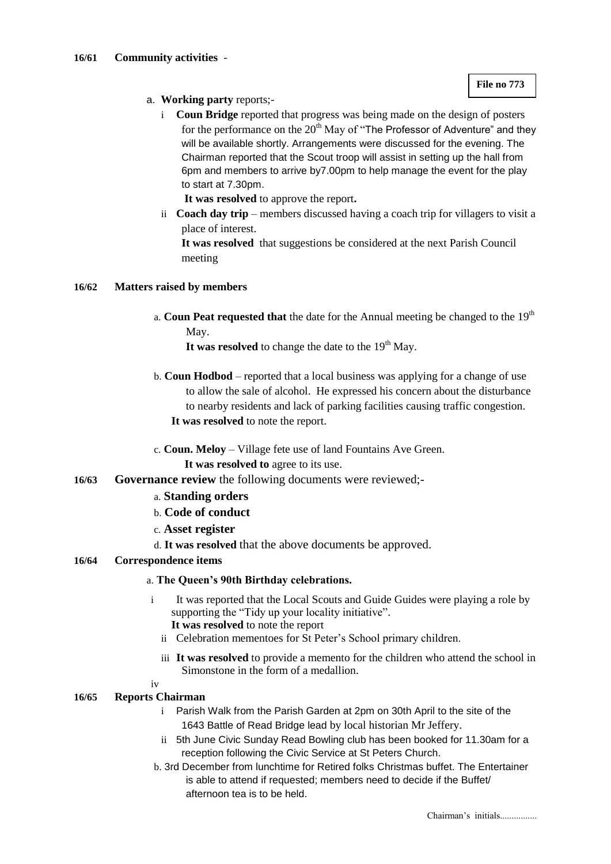- a. **Working party** reports;
	- i **Coun Bridge** reported that progress was being made on the design of posters for the performance on the  $20<sup>th</sup>$  May of "The Professor of Adventure" and they will be available shortly. Arrangements were discussed for the evening. The Chairman reported that the Scout troop will assist in setting up the hall from 6pm and members to arrive by7.00pm to help manage the event for the play to start at 7.30pm.
		- **It was resolved** to approve the report**.**
	- ii **Coach day trip**  members discussed having a coach trip for villagers to visit a place of interest.

**It was resolved** that suggestions be considered at the next Parish Council meeting

# **16/62 Matters raised by members**

a. **Coun Peat requested that** the date for the Annual meeting be changed to the 19<sup>th</sup> May.

It was resolved to change the date to the  $19<sup>th</sup>$  May.

- b. **Coun Hodbod**  reported that a local business was applying for a change of use to allow the sale of alcohol. He expressed his concern about the disturbance to nearby residents and lack of parking facilities causing traffic congestion. **It was resolved** to note the report.
- c. **Coun. Meloy** Village fete use of land Fountains Ave Green. **It was resolved to** agree to its use.
- **16/63 Governance review** the following documents were reviewed;
	- a. **Standing orders**
	- b. **Code of conduct**
	- c. **Asset register**
	- d. **It was resolved** that the above documents be approved.

### **16/64 Correspondence items**

# a. **The Queen's 90th Birthday celebrations.**

- i It was reported that the Local Scouts and Guide Guides were playing a role by supporting the "Tidy up your locality initiative". **It was resolved** to note the report
	- ii Celebration mementoes for St Peter's School primary children.
	- iii **It was resolved** to provide a memento for the children who attend the school in
		- Simonstone in the form of a medallion.

iv

#### **16/65 Reports Chairman**

- i Parish Walk from the Parish Garden at 2pm on 30th April to the site of the 1643 Battle of Read Bridge lead by local historian Mr Jeffery.
- ii 5th June Civic Sunday Read Bowling club has been booked for 11.30am for a reception following the Civic Service at St Peters Church.
- b. 3rd December from lunchtime for Retired folks Christmas buffet. The Entertainer is able to attend if requested; members need to decide if the Buffet/ afternoon tea is to be held.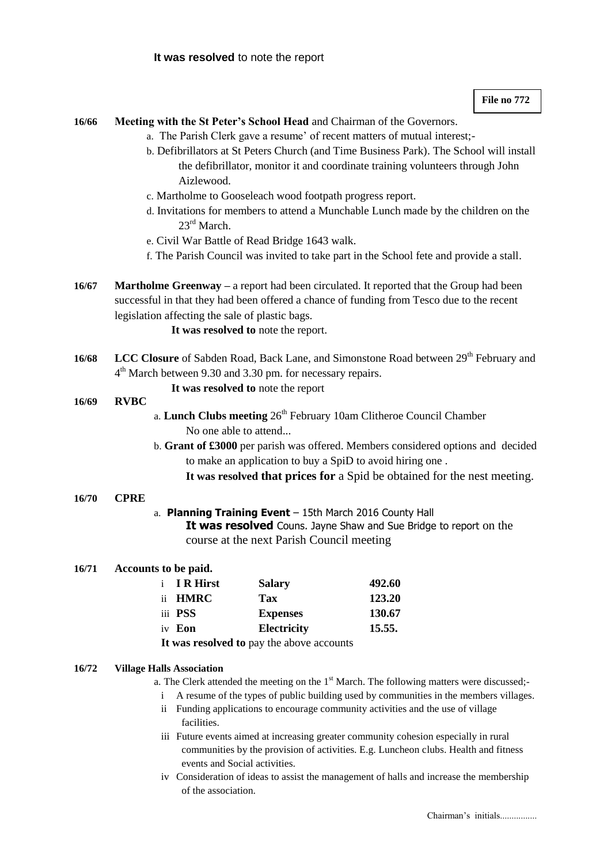**File no 772**

# **16/66 Meeting with the St Peter's School Head** and Chairman of the Governors.

- a. The Parish Clerk gave a resume' of recent matters of mutual interest;
	- b. Defibrillators at St Peters Church (and Time Business Park). The School will install the defibrillator, monitor it and coordinate training volunteers through John Aizlewood.
	- c. Martholme to Gooseleach wood footpath progress report.
	- d. Invitations for members to attend a Munchable Lunch made by the children on the 23<sup>rd</sup> March
	- e. Civil War Battle of Read Bridge 1643 walk.
	- f. The Parish Council was invited to take part in the School fete and provide a stall.
- **16/67 Martholme Greenway –** a report had been circulated. It reported that the Group had been successful in that they had been offered a chance of funding from Tesco due to the recent legislation affecting the sale of plastic bags.

**It was resolved to** note the report.

16/68 LCC Closure of Sabden Road, Back Lane, and Simonstone Road between 29<sup>th</sup> February and 4<sup>th</sup> March between 9.30 and 3.30 pm. for necessary repairs.

**It was resolved to** note the report

#### **16/69 RVBC**

- a. **Lunch Clubs meeting**  $26<sup>th</sup>$  February 10am Clitheroe Council Chamber No one able to attend...
- b. **Grant of £3000** per parish was offered. Members considered options and decided to make an application to buy a SpiD to avoid hiring one .
	- **It was resolved that prices for** a Spid be obtained for the nest meeting.

#### **16/70 CPRE**

## a. **Planning Training Event** – 15th March 2016 County Hall

**It was resolved** Couns. Jayne Shaw and Sue Bridge to report on the course at the next Parish Council meeting

# **16/71 Accounts to be paid.**

| i IR Hirst     | <b>Salary</b>      | 492.60 |
|----------------|--------------------|--------|
| ii HMRC        | Tax                | 123.20 |
| iii <b>PSS</b> | <b>Expenses</b>    | 130.67 |
| iv Eon         | <b>Electricity</b> | 15.55. |
|                |                    |        |

**It was resolved to** pay the above accounts

#### **16/72 Village Halls Association**

a. The Clerk attended the meeting on the  $1<sup>st</sup>$  March. The following matters were discussed;-

- i A resume of the types of public building used by communities in the members villages.
- ii Funding applications to encourage community activities and the use of village facilities.
- iii Future events aimed at increasing greater community cohesion especially in rural communities by the provision of activities. E.g. Luncheon clubs. Health and fitness events and Social activities.
- iv Consideration of ideas to assist the management of halls and increase the membership of the association.